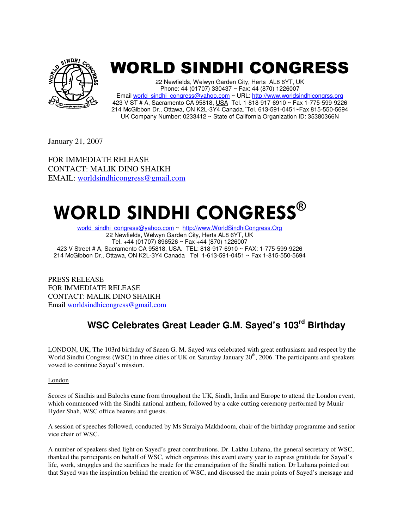

## WORLD SINDHI CONGRESS

22 Newfields, Welwyn Garden City, Herts AL8 6YT, UK Phone: 44 (01707) 330437 ~ Fax: 44 (870) 1226007 Email world\_sindhi\_congress@yahoo.com ~ URL: http://www.worldsindhicongrss.org 423 V ST # A, Sacramento CA 95818, USA Tel. 1-818-917-6910 ~ Fax 1-775-599-9226 214 McGibbon Dr., Ottawa, ON K2L-3Y4 Canada.`Tel. 613-591-0451~Fax 815-550-5694 UK Company Number: 0233412 ~ State of California Organization ID: 35380366N

January 21, 2007

FOR IMMEDIATE RELEASE CONTACT: MALIK DINO SHAIKH EMAIL: worldsindhicongress@gmail.com

# **WORLD SINDHI CONGRESS®**

world\_sindhi\_congress@yahoo.com ~ http://www.WorldSindhiCongress.Org 22 Newfields, Welwyn Garden City, Herts AL8 6YT, UK Tel. +44 (01707) 896526 ~ Fax +44 (870) 1226007 423 V Street # A, Sacramento CA 95818, USA. TEL: 818-917-6910 ~ FAX: 1-775-599-9226 214 McGibbon Dr., Ottawa, ON K2L-3Y4 Canada Tel 1-613-591-0451 ~ Fax 1-815-550-5694

PRESS RELEASE FOR IMMEDIATE RELEASE CONTACT: MALIK DINO SHAIKH Email worldsindhicongress@gmail.com

## **WSC Celebrates Great Leader G.M. Sayed's 103rd Birthday**

LONDON, UK, The 103rd birthday of Saeen G. M. Sayed was celebrated with great enthusiasm and respect by the World Sindhi Congress (WSC) in three cities of UK on Saturday January  $20<sup>th</sup>$ , 2006. The participants and speakers vowed to continue Sayed's mission.

### London

Scores of Sindhis and Balochs came from throughout the UK, Sindh, India and Europe to attend the London event, which commenced with the Sindhi national anthem, followed by a cake cutting ceremony performed by Munir Hyder Shah, WSC office bearers and guests.

A session of speeches followed, conducted by Ms Suraiya Makhdoom, chair of the birthday programme and senior vice chair of WSC.

A number of speakers shed light on Sayed's great contributions. Dr. Lakhu Luhana, the general secretary of WSC, thanked the participants on behalf of WSC, which organizes this event every year to express gratitude for Sayed's life, work, struggles and the sacrifices he made for the emancipation of the Sindhi nation. Dr Luhana pointed out that Sayed was the inspiration behind the creation of WSC, and discussed the main points of Sayed's message and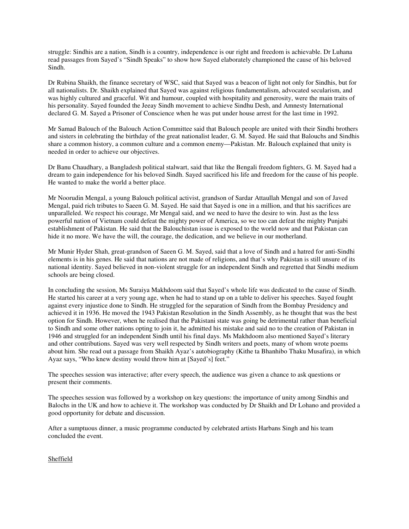struggle: Sindhis are a nation, Sindh is a country, independence is our right and freedom is achievable. Dr Luhana read passages from Sayed's "Sindh Speaks" to show how Sayed elaborately championed the cause of his beloved Sindh.

Dr Rubina Shaikh, the finance secretary of WSC, said that Sayed was a beacon of light not only for Sindhis, but for all nationalists. Dr. Shaikh explained that Sayed was against religious fundamentalism, advocated secularism, and was highly cultured and graceful. Wit and humour, coupled with hospitality and generosity, were the main traits of his personality. Sayed founded the Jeeay Sindh movement to achieve Sindhu Desh, and Amnesty International declared G. M. Sayed a Prisoner of Conscience when he was put under house arrest for the last time in 1992.

Mr Samad Balouch of the Balouch Action Committee said that Balouch people are united with their Sindhi brothers and sisters in celebrating the birthday of the great nationalist leader, G. M. Sayed. He said that Balouchs and Sindhis share a common history, a common culture and a common enemy—Pakistan. Mr. Balouch explained that unity is needed in order to achieve our objectives.

Dr Banu Chaudhary, a Bangladesh political stalwart, said that like the Bengali freedom fighters, G. M. Sayed had a dream to gain independence for his beloved Sindh. Sayed sacrificed his life and freedom for the cause of his people. He wanted to make the world a better place.

Mr Noorudin Mengal, a young Balouch political activist, grandson of Sardar Attaullah Mengal and son of Javed Mengal, paid rich tributes to Saeen G. M. Sayed. He said that Sayed is one in a million, and that his sacrifices are unparalleled. We respect his courage, Mr Mengal said, and we need to have the desire to win. Just as the less powerful nation of Vietnam could defeat the mighty power of America, so we too can defeat the mighty Punjabi establishment of Pakistan. He said that the Balouchistan issue is exposed to the world now and that Pakistan can hide it no more. We have the will, the courage, the dedication, and we believe in our motherland.

Mr Munir Hyder Shah, great-grandson of Saeen G. M. Sayed, said that a love of Sindh and a hatred for anti-Sindhi elements is in his genes. He said that nations are not made of religions, and that's why Pakistan is still unsure of its national identity. Sayed believed in non-violent struggle for an independent Sindh and regretted that Sindhi medium schools are being closed.

In concluding the session, Ms Suraiya Makhdoom said that Sayed's whole life was dedicated to the cause of Sindh. He started his career at a very young age, when he had to stand up on a table to deliver his speeches. Sayed fought against every injustice done to Sindh. He struggled for the separation of Sindh from the Bombay Presidency and achieved it in 1936. He moved the 1943 Pakistan Resolution in the Sindh Assembly, as he thought that was the best option for Sindh. However, when he realised that the Pakistani state was going be detrimental rather than beneficial to Sindh and some other nations opting to join it, he admitted his mistake and said no to the creation of Pakistan in 1946 and struggled for an independent Sindh until his final days. Ms Makhdoom also mentioned Sayed's literary and other contributions. Sayed was very well respected by Sindh writers and poets, many of whom wrote poems about him. She read out a passage from Shaikh Ayaz's autobiography (Kithe ta Bhanhibo Thaku Musafira), in which Ayaz says, "Who knew destiny would throw him at [Sayed's] feet."

The speeches session was interactive; after every speech, the audience was given a chance to ask questions or present their comments.

The speeches session was followed by a workshop on key questions: the importance of unity among Sindhis and Balochs in the UK and how to achieve it. The workshop was conducted by Dr Shaikh and Dr Lohano and provided a good opportunity for debate and discussion.

After a sumptuous dinner, a music programme conducted by celebrated artists Harbans Singh and his team concluded the event.

Sheffield